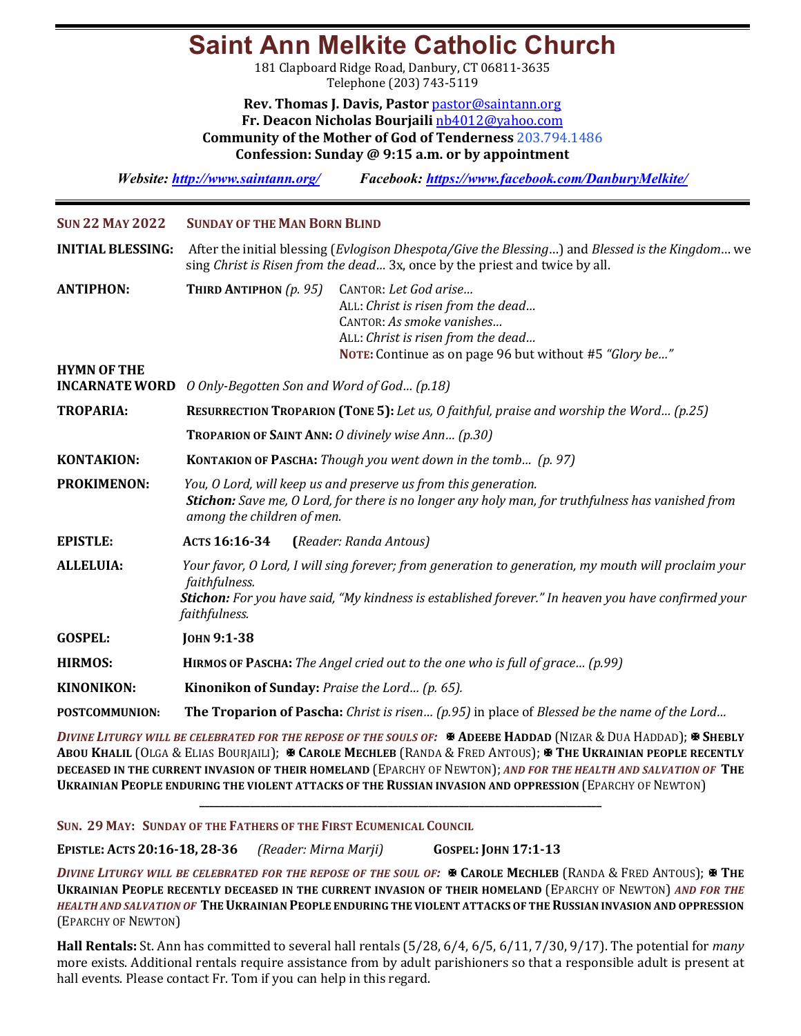## **Saint Ann Melkite Catholic Church**

181 Clapboard Ridge Road, Danbury, CT 06811-3635 Telephone (203) 743-5119

**Rev. Thomas J. Davis, Pastor** pastor@saintann.org **Fr. Deacon Nicholas Bourjaili** nb4012@yahoo.com **Community of the Mother of God of Tenderness** 203.794.1486 **Confession: Sunday @ 9:15 a.m. or by appointment**

*Website: http://www.saintann.org/ Facebook: https://www.facebook.com/DanburyMelkite/* 

| <b>SUN 22 MAY 2022</b>                      | <b>SUNDAY OF THE MAN BORN BLIND</b>                                                                                                                                                                                                          |  |  |  |  |
|---------------------------------------------|----------------------------------------------------------------------------------------------------------------------------------------------------------------------------------------------------------------------------------------------|--|--|--|--|
| <b>INITIAL BLESSING:</b>                    | After the initial blessing (Evlogison Dhespota/Give the Blessing) and Blessed is the Kingdom we<br>sing Christ is Risen from the dead 3x, once by the priest and twice by all.                                                               |  |  |  |  |
| <b>ANTIPHON:</b>                            | THIRD ANTIPHON $(p. 95)$<br>CANTOR: Let God arise<br>ALL: Christ is risen from the dead<br>CANTOR: As smoke vanishes<br>ALL: Christ is risen from the dead<br>NOTE: Continue as on page 96 but without #5 "Glory be"                         |  |  |  |  |
| <b>HYMN OF THE</b><br><b>INCARNATE WORD</b> | O Only-Begotten Son and Word of God (p.18)                                                                                                                                                                                                   |  |  |  |  |
|                                             |                                                                                                                                                                                                                                              |  |  |  |  |
| <b>TROPARIA:</b>                            | RESURRECTION TROPARION (TONE 5): Let us, O faithful, praise and worship the Word (p.25)                                                                                                                                                      |  |  |  |  |
|                                             | <b>TROPARION OF SAINT ANN: O divinely wise Ann (p.30)</b>                                                                                                                                                                                    |  |  |  |  |
| <b>KONTAKION:</b>                           | <b>KONTAKION OF PASCHA:</b> Though you went down in the tomb (p. 97)                                                                                                                                                                         |  |  |  |  |
| <b>PROKIMENON:</b>                          | You, O Lord, will keep us and preserve us from this generation.<br><b>Stichon:</b> Save me, O Lord, for there is no longer any holy man, for truthfulness has vanished from<br>among the children of men.                                    |  |  |  |  |
| <b>EPISTLE:</b>                             | ACTS 16:16-34<br>(Reader: Randa Antous)                                                                                                                                                                                                      |  |  |  |  |
| <b>ALLELUIA:</b>                            | Your favor, O Lord, I will sing forever; from generation to generation, my mouth will proclaim your<br>faithfulness.<br>Stichon: For you have said, "My kindness is established forever." In heaven you have confirmed your<br>faithfulness. |  |  |  |  |
| <b>GOSPEL:</b>                              | <b>JOHN 9:1-38</b>                                                                                                                                                                                                                           |  |  |  |  |
| <b>HIRMOS:</b>                              | HIRMOS OF PASCHA: The Angel cried out to the one who is full of grace (p.99)                                                                                                                                                                 |  |  |  |  |
| <b>KINONIKON:</b>                           | Kinonikon of Sunday: Praise the Lord (p. 65).                                                                                                                                                                                                |  |  |  |  |
| <b>POSTCOMMUNION:</b>                       | The Troparion of Pascha: Christ is risen (p.95) in place of Blessed be the name of the Lord                                                                                                                                                  |  |  |  |  |

*DIVINE LITURGY WILL BE CELEBRATED FOR THE REPOSE OF THE SOULS OF:*  $\mathbb{R}$  ADEEBE HADDAD (NIZAR & DUA HADDAD);  $\mathbb{R}$  SHEBLY ABOU KHALIL (OLGA & ELIAS BOURJAILI); **X CAROLE MECHLEB** (RANDA & FRED ANTOUS); X THE UKRAINIAN PEOPLE RECENTLY **DECEASED IN THE CURRENT INVASION OF THEIR HOMELAND** (EPARCHY OF NEWTON); AND FOR THE HEALTH AND SALVATION OF THE **UKRAINIAN PEOPLE ENDURING THE VIOLENT ATTACKS OF THE RUSSIAN INVASION AND OPPRESSION (EPARCHY OF NEWTON)** 

**\_\_\_\_\_\_\_\_\_\_\_\_\_\_\_\_\_\_\_\_\_\_\_\_\_\_\_\_\_\_\_\_\_\_\_\_\_\_\_\_\_\_\_\_\_\_\_\_\_\_\_\_\_\_\_\_\_\_\_\_\_\_\_\_\_\_\_\_\_\_\_\_\_\_\_\_\_\_\_**

**SUN. 29 MAY: SUNDAY OF THE FATHERS OF THE FIRST ECUMENICAL COUNCIL** 

**EPISTLE: ACTS 20:16-18, 28-36** *(Reader: Mirna Marji)*  **GOSPEL: JOHN 17:1-13**

*DIVINE LITURGY WILL BE CELEBRATED FOR THE REPOSE OF THE SOUL OF:*  $\mathbb{R}$  CAROLE MECHLEB (RANDA & FRED ANTOUS);  $\mathbb{R}$  THE **UKRAINIAN PEOPLE RECENTLY DECEASED IN THE CURRENT INVASION OF THEIR HOMELAND (EPARCHY OF NEWTON) AND FOR THE** HEALTH AND SALVATION OF THE UKRAINIAN PEOPLE ENDURING THE VIOLENT ATTACKS OF THE RUSSIAN INVASION AND OPPRESSION (EPARCHY OF NEWTON)

**Hall Rentals:** St. Ann has committed to several hall rentals (5/28, 6/4, 6/5, 6/11, 7/30, 9/17). The potential for *many* more exists. Additional rentals require assistance from by adult parishioners so that a responsible adult is present at hall events. Please contact Fr. Tom if you can help in this regard.